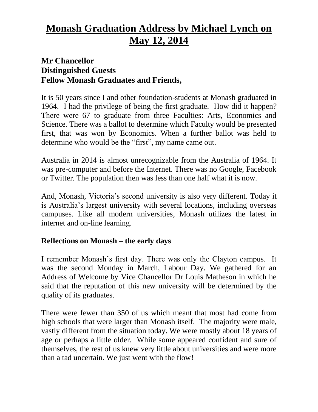# **Monash Graduation Address by Michael Lynch on May 12, 2014**

## **Mr Chancellor Distinguished Guests Fellow Monash Graduates and Friends,**

It is 50 years since I and other foundation-students at Monash graduated in 1964. I had the privilege of being the first graduate. How did it happen? There were 67 to graduate from three Faculties: Arts, Economics and Science. There was a ballot to determine which Faculty would be presented first, that was won by Economics. When a further ballot was held to determine who would be the "first", my name came out.

Australia in 2014 is almost unrecognizable from the Australia of 1964. It was pre-computer and before the Internet. There was no Google, Facebook or Twitter. The population then was less than one half what it is now.

And, Monash, Victoria's second university is also very different. Today it is Australia's largest university with several locations, including overseas campuses. Like all modern universities, Monash utilizes the latest in internet and on-line learning.

### **Reflections on Monash – the early days**

I remember Monash's first day. There was only the Clayton campus. It was the second Monday in March, Labour Day. We gathered for an Address of Welcome by Vice Chancellor Dr Louis Matheson in which he said that the reputation of this new university will be determined by the quality of its graduates.

There were fewer than 350 of us which meant that most had come from high schools that were larger than Monash itself. The majority were male, vastly different from the situation today. We were mostly about 18 years of age or perhaps a little older. While some appeared confident and sure of themselves, the rest of us knew very little about universities and were more than a tad uncertain. We just went with the flow!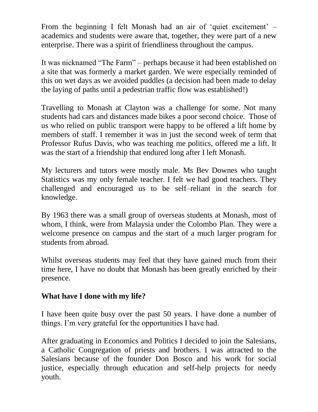From the beginning I felt Monash had an air of 'quiet excitement' – academics and students were aware that, together, they were part of a new enterprise. There was a spirit of friendliness throughout the campus.

It was nicknamed "The Farm" – perhaps because it had been established on a site that was formerly a market garden. We were especially reminded of this on wet days as we avoided puddles (a decision had been made to delay the laying of paths until a pedestrian traffic flow was established!)

Travelling to Monash at Clayton was a challenge for some. Not many students had cars and distances made bikes a poor second choice. Those of us who relied on public transport were happy to be offered a lift home by members of staff. I remember it was in just the second week of term that Professor Rufus Davis, who was teaching me politics, offered me a lift. It was the start of a friendship that endured long after I left Monash.

My lecturers and tutors were mostly male. Ms Bev Downes who taught Statistics was my only female teacher. I felt we had good teachers. They challenged and encouraged us to be self–reliant in the search for knowledge.

By 1963 there was a small group of overseas students at Monash, most of whom, I think, were from Malaysia under the Colombo Plan. They were a welcome presence on campus and the start of a much larger program for students from abroad.

Whilst overseas students may feel that they have gained much from their time here, I have no doubt that Monash has been greatly enriched by their presence.

### **What have I done with my life?**

I have been quite busy over the past 50 years. I have done a number of things. I'm very grateful for the opportunities I have had.

After graduating in Economics and Politics I decided to join the Salesians, a Catholic Congregation of priests and brothers. I was attracted to the Salesians because of the founder Don Bosco and his work for social justice, especially through education and self-help projects for needy youth.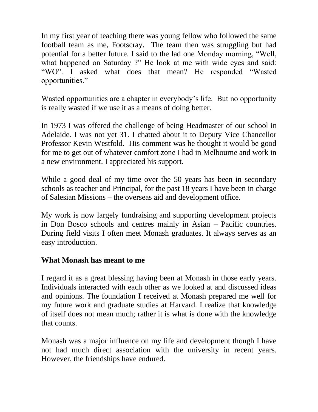In my first year of teaching there was young fellow who followed the same football team as me, Footscray. The team then was struggling but had potential for a better future. I said to the lad one Monday morning, "Well, what happened on Saturday ?" He look at me with wide eyes and said: "WO". I asked what does that mean? He responded "Wasted opportunities."

Wasted opportunities are a chapter in everybody's life. But no opportunity is really wasted if we use it as a means of doing better.

In 1973 I was offered the challenge of being Headmaster of our school in Adelaide. I was not yet 31. I chatted about it to Deputy Vice Chancellor Professor Kevin Westfold. His comment was he thought it would be good for me to get out of whatever comfort zone I had in Melbourne and work in a new environment. I appreciated his support.

While a good deal of my time over the 50 years has been in secondary schools as teacher and Principal, for the past 18 years I have been in charge of Salesian Missions – the overseas aid and development office.

My work is now largely fundraising and supporting development projects in Don Bosco schools and centres mainly in Asian – Pacific countries. During field visits I often meet Monash graduates. It always serves as an easy introduction.

#### **What Monash has meant to me**

I regard it as a great blessing having been at Monash in those early years. Individuals interacted with each other as we looked at and discussed ideas and opinions. The foundation I received at Monash prepared me well for my future work and graduate studies at Harvard. I realize that knowledge of itself does not mean much; rather it is what is done with the knowledge that counts.

Monash was a major influence on my life and development though I have not had much direct association with the university in recent years. However, the friendships have endured.